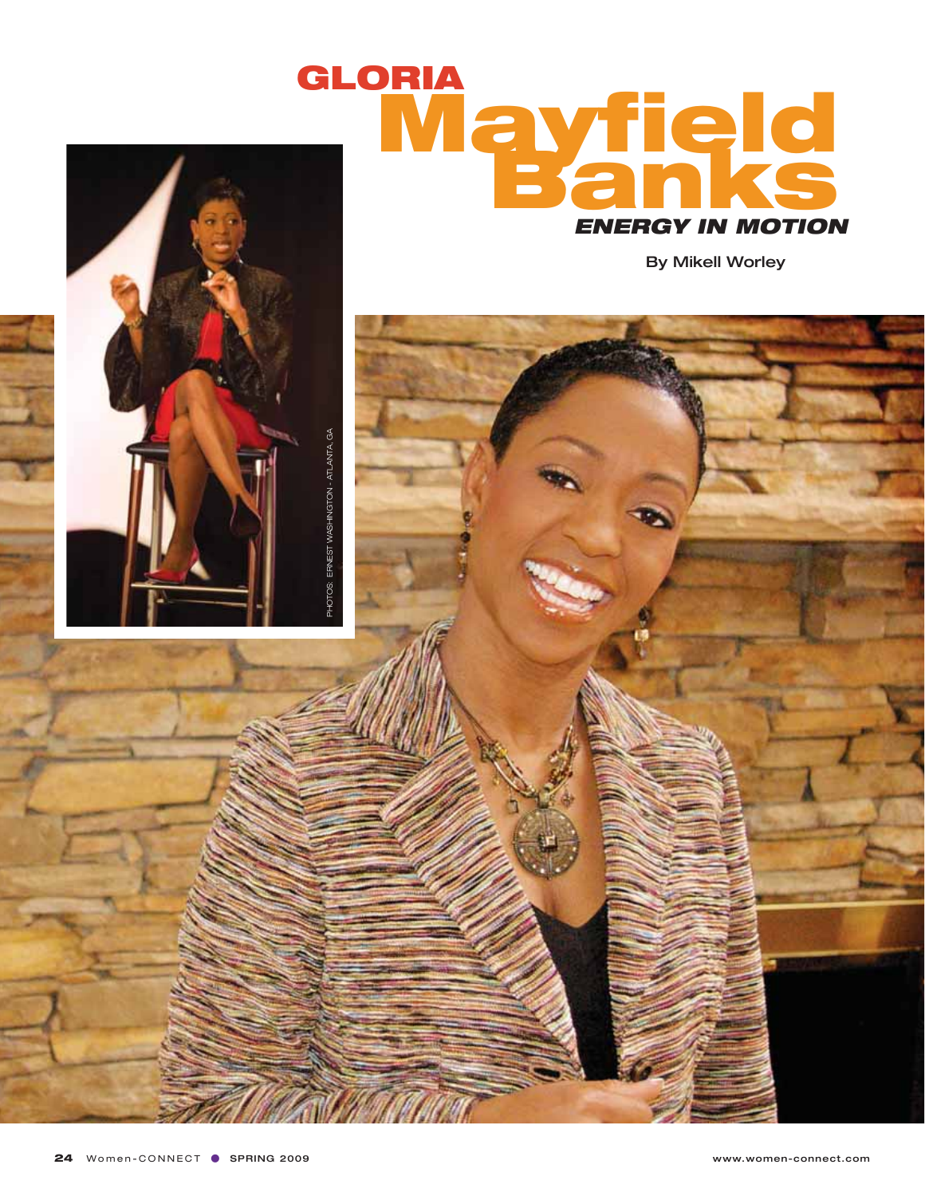

By Mikell Worley



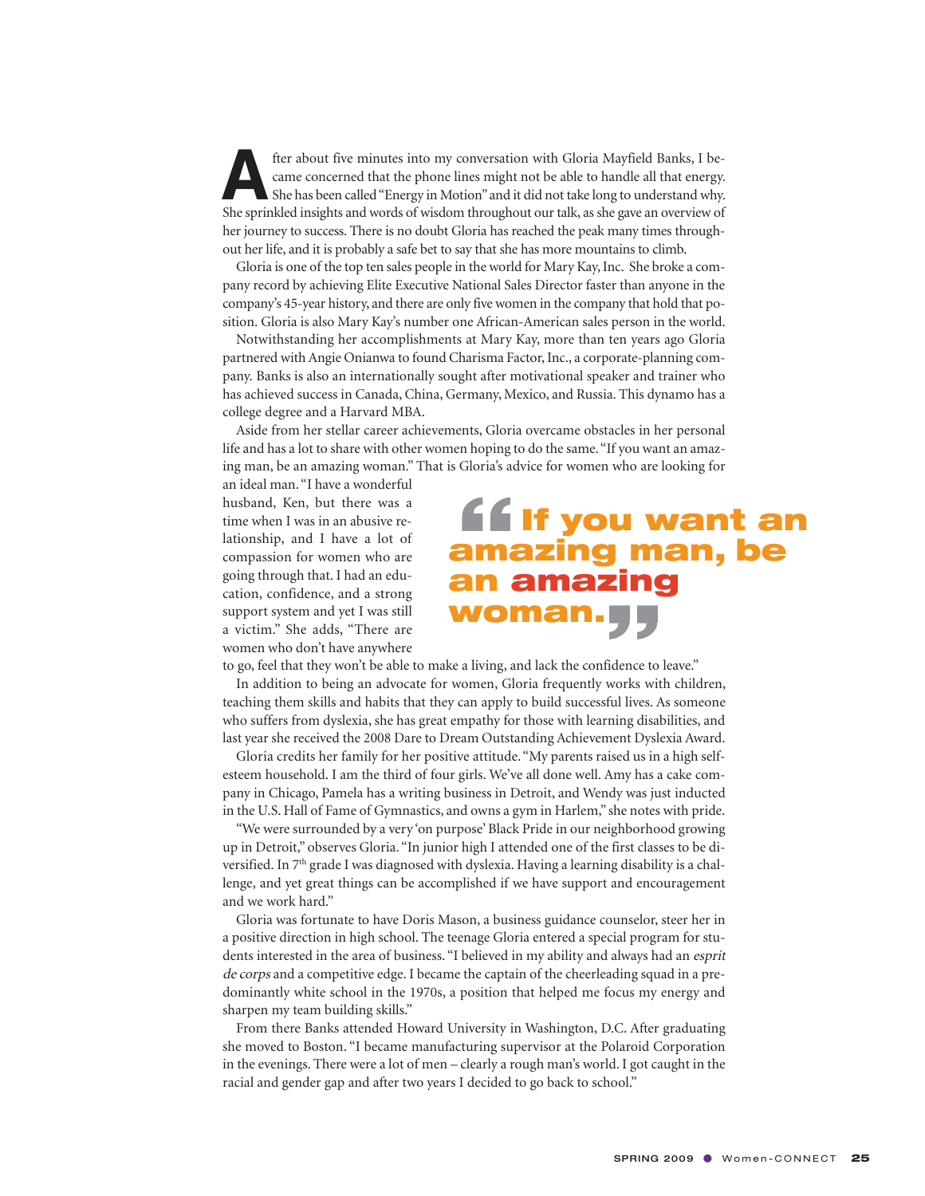fter about five minutes into my conversation with Gloria Mayfield Banks, I be-<br>came concerned that the phone lines might not be able to handle all that energy.<br>She has been called "Energy in Motion" and it did not take lon came concerned that the phone lines might not be able to handle all that energy. She has been called "Energy in Motion" and it did not take long to understand why. She sprinkled insights and words of wisdom throughout our talk, as she gave an overview of her journey to success. There is no doubt Gloria has reached the peak many times throughout her life, and it is probably a safe bet to say that she has more mountains to climb.

Gloria is one of the top ten sales people in the world for Mary Kay, Inc. She broke a company record by achieving Elite Executive National Sales Director faster than anyone in the company's 45-year history, and there are only five women in the company that hold that position. Gloria is also Mary Kay's number one African-American sales person in the world.

Notwithstanding her accomplishments at Mary Kay, more than ten years ago Gloria partnered with Angie Onianwa to found Charisma Factor, Inc., a corporate-planning company. Banks is also an internationally sought after motivational speaker and trainer who has achieved success in Canada, China, Germany, Mexico, and Russia. This dynamo has a college degree and a Harvard MBA.

Aside from her stellar career achievements, Gloria overcame obstacles in her personal life and has a lot to share with other women hoping to do the same. "If you want an amazing man, be an amazing woman." That is Gloria's advice for women who are looking for

an ideal man. "I have a wonderful husband, Ken, but there was a time when I was in an abusive relationship, and I have a lot of compassion for women who are going through that. I had an education, confidence, and a strong support system and yet I was still a victim." She adds, "There are women who don't have anywhere

## **If you want an amazing man, be an amazing woman.**

to go, feel that they won't be able to make a living, and lack the confidence to leave."

In addition to being an advocate for women, Gloria frequently works with children, teaching them skills and habits that they can apply to build successful lives. As someone who suffers from dyslexia, she has great empathy for those with learning disabilities, and last year she received the 2008 Dare to Dream Outstanding Achievement Dyslexia Award.

Gloria credits her family for her positive attitude. "My parents raised us in a high selfesteem household. I am the third of four girls. We've all done well. Amy has a cake company in Chicago, Pamela has a writing business in Detroit, and Wendy was just inducted in the U.S. Hall of Fame of Gymnastics, and owns a gym in Harlem," she notes with pride.

"We were surrounded by a very 'on purpose' Black Pride in our neighborhood growing up in Detroit," observes Gloria. "In junior high I attended one of the first classes to be diversified. In 7<sup>th</sup> grade I was diagnosed with dyslexia. Having a learning disability is a challenge, and yet great things can be accomplished if we have support and encouragement and we work hard."

Gloria was fortunate to have Doris Mason, a business guidance counselor, steer her in a positive direction in high school. The teenage Gloria entered a special program for students interested in the area of business. "I believed in my ability and always had an esprit de corps and a competitive edge. I became the captain of the cheerleading squad in a predominantly white school in the 1970s, a position that helped me focus my energy and sharpen my team building skills."

From there Banks attended Howard University in Washington, D.C. After graduating she moved to Boston. "I became manufacturing supervisor at the Polaroid Corporation in the evenings. There were a lot of men – clearly a rough man's world. I got caught in the racial and gender gap and after two years I decided to go back to school."